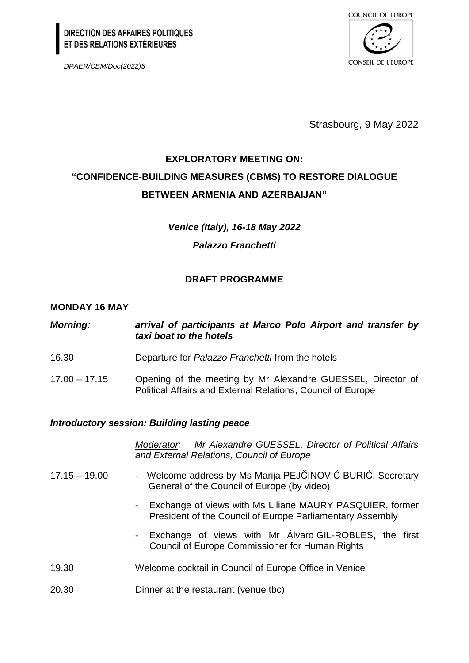# DIRECTION DES AFFAIRES POLITIQUES<br>ET DES RELATIONS EXTÉRIEURES

*DPAER/CBM/Doc(2022)5*



Strasbourg, 9 May 2022

## **EXPLORATORY MEETING ON: "CONFIDENCE-BUILDING MEASURES (CBMS) TO RESTORE DIALOGUE BETWEEN ARMENIA AND AZERBAIJAN"**

*Venice (Italy), 16-18 May 2022* 

## *Palazzo Franchetti*

## **DRAFT PROGRAMME**

## **MONDAY 16 MAY**

| <b>Morning:</b>                                     | arrival of participants at Marco Polo Airport and transfer by<br>taxi boat to the hotels                                   |
|-----------------------------------------------------|----------------------------------------------------------------------------------------------------------------------------|
| 16.30                                               | Departure for Palazzo Franchetti from the hotels                                                                           |
| $17.00 - 17.15$                                     | Opening of the meeting by Mr Alexandre GUESSEL, Director of<br>Political Affairs and External Relations, Council of Europe |
| <b>Introductory session: Building lasting peace</b> |                                                                                                                            |
|                                                     | Moderator: Mr Alexandre GUESSEL, Director of Political Affairs<br>and External Relations, Council of Europe                |
| $17.15 - 19.00$                                     | - Welcome address by Ms Marija PEJČINOVIĆ BURIĆ, Secretary<br>General of the Council of Europe (by video)                  |
|                                                     | - Exchange of views with Ms Liliane MAURY PASQUIER, former<br>President of the Council of Europe Parliamentary Assembly    |
|                                                     | - Exchange of views with Mr Alvaro GIL-ROBLES, the first<br><b>Council of Europe Commissioner for Human Rights</b>         |
| 19.30                                               | Welcome cocktail in Council of Europe Office in Venice                                                                     |
| 20.30                                               | Dinner at the restaurant (venue tbc)                                                                                       |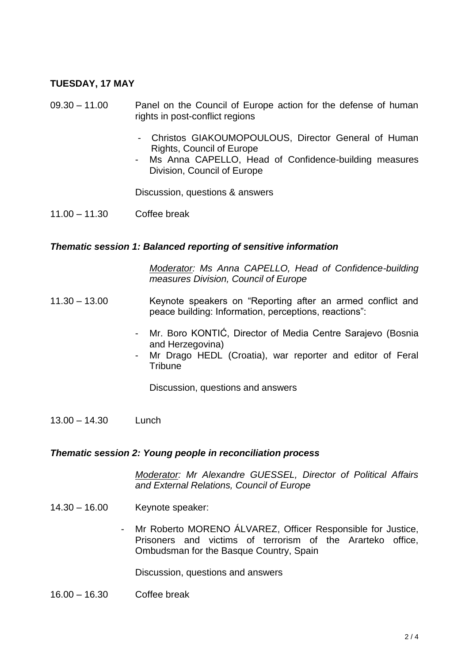### **TUESDAY, 17 MAY**

- 09.30 11.00 Panel on the Council of Europe action for the defense of human rights in post-conflict regions
	- Christos GIAKOUMOPOULOUS, Director General of Human Rights, Council of Europe
	- Ms Anna CAPELLO, Head of Confidence-building measures Division, Council of Europe

Discussion, questions & answers

11.00 – 11.30 Coffee break

#### *Thematic session 1: Balanced reporting of sensitive information*

*Moderator: Ms Anna CAPELLO, Head of Confidence-building measures Division, Council of Europe* 

- 11.30 13.00 Keynote speakers on "Reporting after an armed conflict and peace building: Information, perceptions, reactions":
	- Mr. Boro KONTIĆ, Director of Media Centre Sarajevo (Bosnia and Herzegovina)
	- Mr Drago HEDL (Croatia), war reporter and editor of Feral **Tribune**

Discussion, questions and answers

13.00 – 14.30 Lunch

#### *Thematic session 2: Young people in reconciliation process*

*Moderator: Mr Alexandre GUESSEL, Director of Political Affairs and External Relations, Council of Europe*

- 14.30 16.00 Keynote speaker:
	- Mr Roberto MORENO ÁLVAREZ, Officer Responsible for Justice, Prisoners and victims of terrorism of the Ararteko office, Ombudsman for the Basque Country, Spain

Discussion, questions and answers

16.00 – 16.30 Coffee break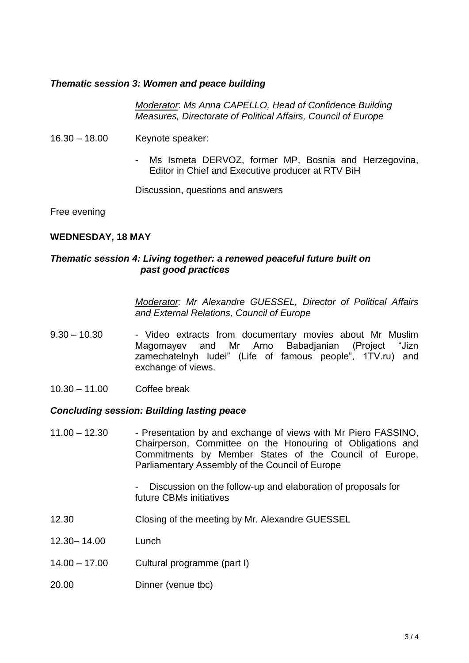#### *Thematic session 3: Women and peace building*

*Moderator*: *Ms Anna CAPELLO, Head of Confidence Building Measures, Directorate of Political Affairs, Council of Europe*

- 16.30 18.00 Keynote speaker:
	- Ms Ismeta DERVOZ, former MP, Bosnia and Herzegovina, Editor in Chief and Executive producer at RTV BiH

Discussion, questions and answers

Free evening

#### **WEDNESDAY, 18 MAY**

#### *Thematic session 4: Living together: a renewed peaceful future built on past good practices*

*Moderator: Mr Alexandre GUESSEL, Director of Political Affairs and External Relations, Council of Europe*

- 9.30 10.30 Video extracts from documentary movies about Mr Muslim<br>Magomayev and Mr Arno Babadjanian (Project "Jizn Magomayev and Mr Arno Babadjanian (Project "Jizn zamechatelnyh ludei" (Life of famous people", 1TV.ru) and exchange of views.
- 10.30 11.00 Coffee break

#### *Concluding session: Building lasting peace*

11.00 – 12.30 - Presentation by and exchange of views with Mr Piero FASSINO, Chairperson, Committee on the Honouring of Obligations and Commitments by Member States of the Council of Europe, Parliamentary Assembly of the Council of Europe

> Discussion on the follow-up and elaboration of proposals for future CBMs initiatives

- 12.30 Closing of the meeting by Mr. Alexandre GUESSEL
- 12.30– 14.00 Lunch
- 14.00 17.00 Cultural programme (part I)
- 20.00 Dinner (venue tbc)